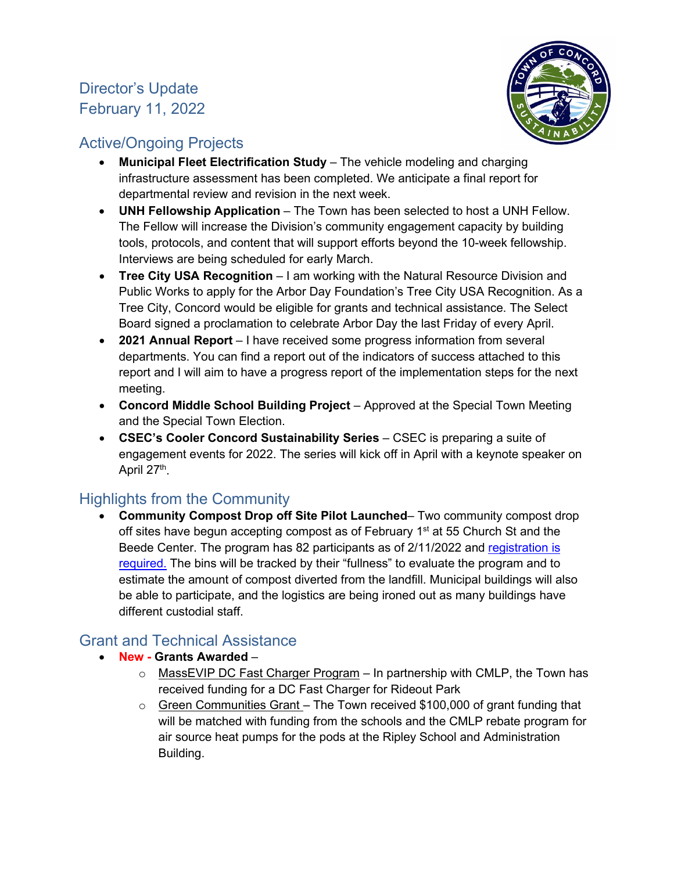## Director's Update February 11, 2022



#### Active/Ongoing Projects

- **Municipal Fleet Electrification Study** The vehicle modeling and charging infrastructure assessment has been completed. We anticipate a final report for departmental review and revision in the next week.
- **UNH Fellowship Application** The Town has been selected to host a UNH Fellow. The Fellow will increase the Division's community engagement capacity by building tools, protocols, and content that will support efforts beyond the 10-week fellowship. Interviews are being scheduled for early March.
- **Tree City USA Recognition**  I am working with the Natural Resource Division and Public Works to apply for the Arbor Day Foundation's Tree City USA Recognition. As a Tree City, Concord would be eligible for grants and technical assistance. The Select Board signed a proclamation to celebrate Arbor Day the last Friday of every April.
- **2021 Annual Report** I have received some progress information from several departments. You can find a report out of the indicators of success attached to this report and I will aim to have a progress report of the implementation steps for the next meeting.
- **Concord Middle School Building Project**  Approved at the Special Town Meeting and the Special Town Election.
- **CSEC's Cooler Concord Sustainability Series**  CSEC is preparing a suite of engagement events for 2022. The series will kick off in April with a keynote speaker on April 27<sup>th</sup>.

### Highlights from the Community

• **Community Compost Drop off Site Pilot Launched**– Two community compost drop off sites have begun accepting compost as of February  $1<sup>st</sup>$  at 55 Church St and the Beede Center. The program has 82 participants as of 2/11/2022 and [registration is](https://forms.office.com/Pages/DesignPage.aspx?auth_pvr=OrgId&auth_upn=akohn%40concordma.gov&lang=en-US&origin=OfficeDotCom&route=Start#FormId=LJ4l1RUZRU-IthJIgBnOO06im_dEC-tNjLWeK_likG5UMFAxNE9KVE5UVFQwTzdTSEQyVjY3NUZYSS4u)  [required.](https://forms.office.com/Pages/DesignPage.aspx?auth_pvr=OrgId&auth_upn=akohn%40concordma.gov&lang=en-US&origin=OfficeDotCom&route=Start#FormId=LJ4l1RUZRU-IthJIgBnOO06im_dEC-tNjLWeK_likG5UMFAxNE9KVE5UVFQwTzdTSEQyVjY3NUZYSS4u) The bins will be tracked by their "fullness" to evaluate the program and to estimate the amount of compost diverted from the landfill. Municipal buildings will also be able to participate, and the logistics are being ironed out as many buildings have different custodial staff.

### Grant and Technical Assistance

- **New - Grants Awarded**
	- $\circ$  MassEVIP DC Fast Charger Program In partnership with CMLP, the Town has received funding for a DC Fast Charger for Rideout Park
	- $\circ$  Green Communities Grant The Town received \$100,000 of grant funding that will be matched with funding from the schools and the CMLP rebate program for air source heat pumps for the pods at the Ripley School and Administration Building.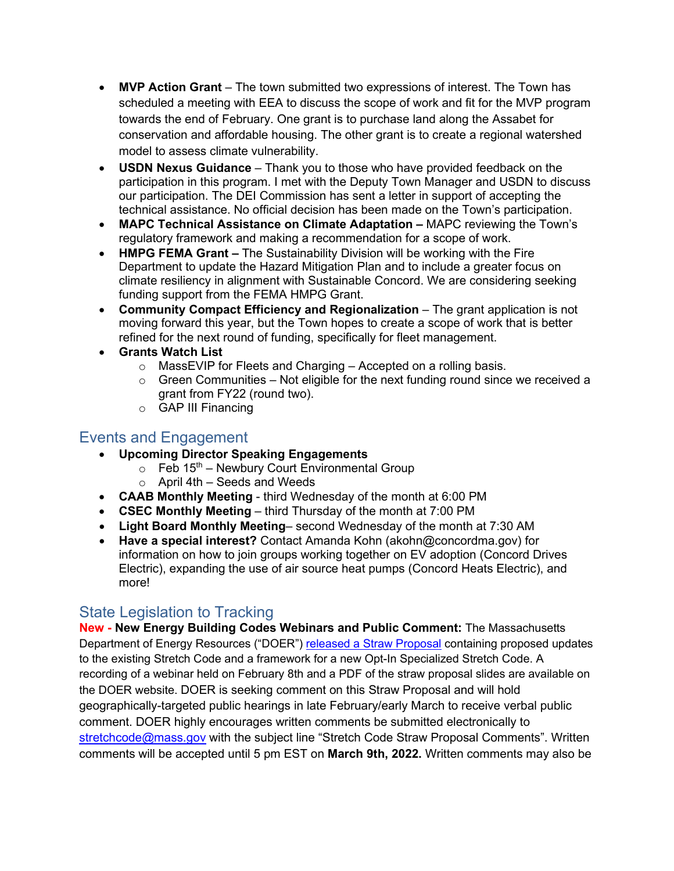- **MVP Action Grant**  The town submitted two expressions of interest. The Town has scheduled a meeting with EEA to discuss the scope of work and fit for the MVP program towards the end of February. One grant is to purchase land along the Assabet for conservation and affordable housing. The other grant is to create a regional watershed model to assess climate vulnerability.
- **USDN Nexus Guidance** Thank you to those who have provided feedback on the participation in this program. I met with the Deputy Town Manager and USDN to discuss our participation. The DEI Commission has sent a letter in support of accepting the technical assistance. No official decision has been made on the Town's participation.
- **MAPC Technical Assistance on Climate Adaptation –** MAPC reviewing the Town's regulatory framework and making a recommendation for a scope of work.
- **HMPG FEMA Grant –** The Sustainability Division will be working with the Fire Department to update the Hazard Mitigation Plan and to include a greater focus on climate resiliency in alignment with Sustainable Concord. We are considering seeking funding support from the FEMA HMPG Grant.
- **Community Compact Efficiency and Regionalization** The grant application is not moving forward this year, but the Town hopes to create a scope of work that is better refined for the next round of funding, specifically for fleet management.
- **Grants Watch List** 
	- $\circ$  MassEVIP for Fleets and Charging Accepted on a rolling basis.
	- $\circ$  Green Communities Not eligible for the next funding round since we received a grant from FY22 (round two).
	- o GAP III Financing

#### Events and Engagement

- **Upcoming Director Speaking Engagements** 
	- $\circ$  Feb 15<sup>th</sup> Newbury Court Environmental Group
	- $\circ$  April 4th Seeds and Weeds
- **CAAB Monthly Meeting** third Wednesday of the month at 6:00 PM
- **CSEC Monthly Meeting** third Thursday of the month at 7:00 PM
- **Light Board Monthly Meeting** second Wednesday of the month at 7:30 AM
- **Have a special interest?** Contact Amanda Kohn (akohn@concordma.gov) for information on how to join groups working together on EV adoption (Concord Drives Electric), expanding the use of air source heat pumps (Concord Heats Electric), and more!

#### State Legislation to Tracking

**New - New Energy Building Codes Webinars and Public Comment:** The Massachusetts Department of Energy Resources ("DOER") [released a Straw Proposal](https://www.mass.gov/info-details/stretch-energy-code-development-2022) containing proposed updates to the existing Stretch Code and a framework for a new Opt-In Specialized Stretch Code. A recording of a webinar held on February 8th and a PDF of the straw proposal slides are available on the DOER website. DOER is seeking comment on this Straw Proposal and will hold geographically-targeted public hearings in late February/early March to receive verbal public comment. DOER highly encourages written comments be submitted electronically to [stretchcode@mass.gov](mailto:stretchcode@mass.gov) with the subject line "Stretch Code Straw Proposal Comments". Written comments will be accepted until 5 pm EST on **March 9th, 2022.** Written comments may also be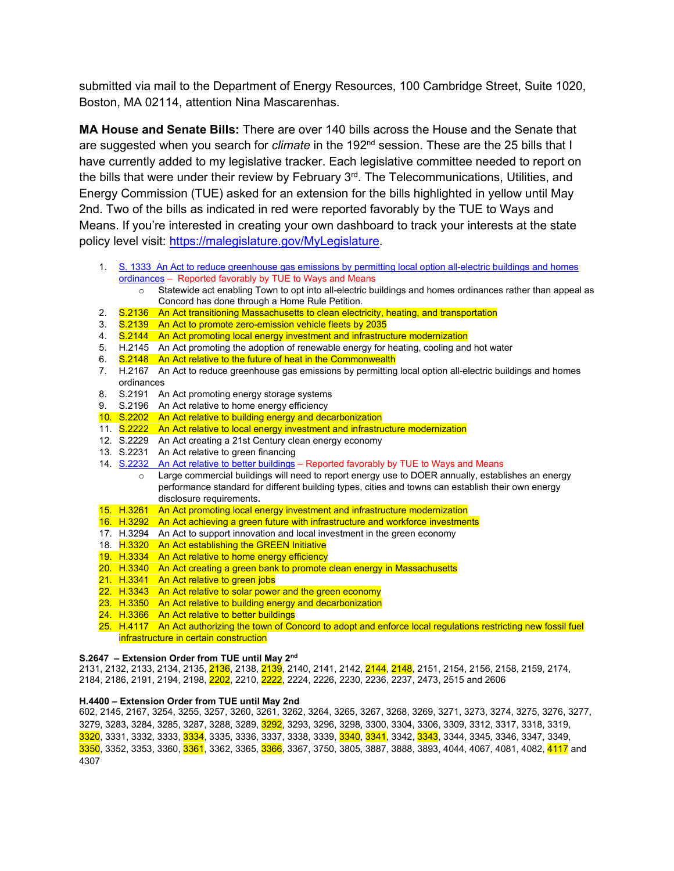submitted via mail to the Department of Energy Resources, 100 Cambridge Street, Suite 1020, Boston, MA 02114, attention Nina Mascarenhas.

**MA House and Senate Bills:** There are over 140 bills across the House and the Senate that are suggested when you search for *[climate](https://malegislature.gov/Bills/Search?searchTerms=climate)* in the 192<sup>nd</sup> session. These are the 25 bills that I have currently added to [my legislative tracker.](https://malegislature.gov/MyLegislature) Each legislative committee needed to report on the bills that were under their review by February 3rd. The Telecommunications, Utilities, and Energy Commission (TUE) asked for an extension for the bills highlighted in yellow until May 2nd. Two of the bills as indicated in red were reported favorably by the TUE to Ways and Means. If you're interested in creating your own dashboard to track your interests at the state policy level visit: [https://malegislature.gov/MyLegislature.](https://malegislature.gov/MyLegislature)

- 1. S. 1333 An Act to reduce greenhouse gas emissions by permitting local option all-electric buildings and homes [ordinances](https://malegislature.gov/Bills/192/S1333) – Reported favorably by TUE to Ways and Means
	- o Statewide act enabling Town to opt into all-electric buildings and homes ordinances rather than appeal as Concord has done through a Home Rule Petition.
- 2. S.2136 An Act transitioning Massachusetts to clean electricity, heating, and transportation
- 3. S.2139 An Act to promote zero-emission vehicle fleets by 2035<br>4. S.2144 An Act promoting local energy investment and infrastruc
- S.2144 An Act promoting local energy investment and infrastructure modernization
- 5. H.2145 An Act promoting the adoption of renewable energy for heating, cooling and hot water 6. S.2148 An Act relative to the future of heat in the Commonwealth
- 6. S.2148 An Act relative to the future of heat in the Commonwealth
- 2. H.2167 An Act to reduce greenhouse gas emissions by permitting local option all-electric buildings and homes ordinances
- 8. S.2191 An Act promoting energy storage systems
- 9. S.2196 An Act relative to home energy efficiency
- 10. S.2202 An Act relative to building energy and decarbonization
- 11. S.2222 An Act relative to local energy investment and infrastructure modernization
- 12. S.2229 An Act creating a 21st Century clean energy economy
- 13. S.2231 An Act relative to green financing
- 14. [S.2232 An Act relative to better buildings](https://malegislature.gov/Bills/192/SD2114) Reported favorably by TUE to Ways and Means
	- o Large commercial buildings will need to report energy use to DOER annually, establishes an energy performance standard for different building types, cities and towns can establish their own energy disclosure requirements**.**
- 15. H.3261 An Act promoting local energy investment and infrastructure modernization
- 16. H.3292 An Act achieving a green future with infrastructure and workforce investments
- 17. H.3294 An Act to support innovation and local investment in the green economy
- 18. H.3320 An Act establishing the GREEN Initiative
- 19. H.3334 An Act relative to home energy efficiency
- 20. H.3340 An Act creating a green bank to promote clean energy in Massachusetts
- 21. H.3341 An Act relative to green jobs
- 22. H.3343 An Act relative to solar power and the green economy
- 23. H.3350 An Act relative to building energy and decarbonization
- 24. H.3366 An Act relative to better buildings
- 25. H.4117 An Act authorizing the town of Concord to adopt and enforce local regulations restricting new fossil fuel infrastructure in certain construction

#### **S.2647 – Extension Order from TUE until May 2nd**

2131, 2132, 2133, 2134, 2135, 2136, 2138, 2139, 2140, 2141, 2142, 2144, 2148, 2151, 2154, 2156, 2158, 2159, 2174, 2184, 2186, 2191, 2194, 2198, 2202, 2210, 2222, 2224, 2226, 2230, 2236, 2237, 2473, 2515 and 2606

#### **H.4400 – Extension Order from TUE until May 2nd**

602, 2145, 2167, 3254, 3255, 3257, 3260, 3261, 3262, 3264, 3265, 3267, 3268, 3269, 3271, 3273, 3274, 3275, 3276, 3277, 3279, 3283, 3284, 3285, 3287, 3288, 3289, 3292, 3293, 3296, 3298, 3300, 3304, 3306, 3309, 3312, 3317, 3318, 3319, 3320, 3331, 3332, 3333, 3334, 3335, 3336, 3337, 3338, 3339, 3340, 3341, 3342, 3343, 3344, 3345, 3346, 3347, 3349, 3350, 3352, 3353, 3360, 3361, 3362, 3365, 3366, 3367, 3750, 3805, 3887, 3888, 3893, 4044, 4067, 4081, 4082, 4117 and 4307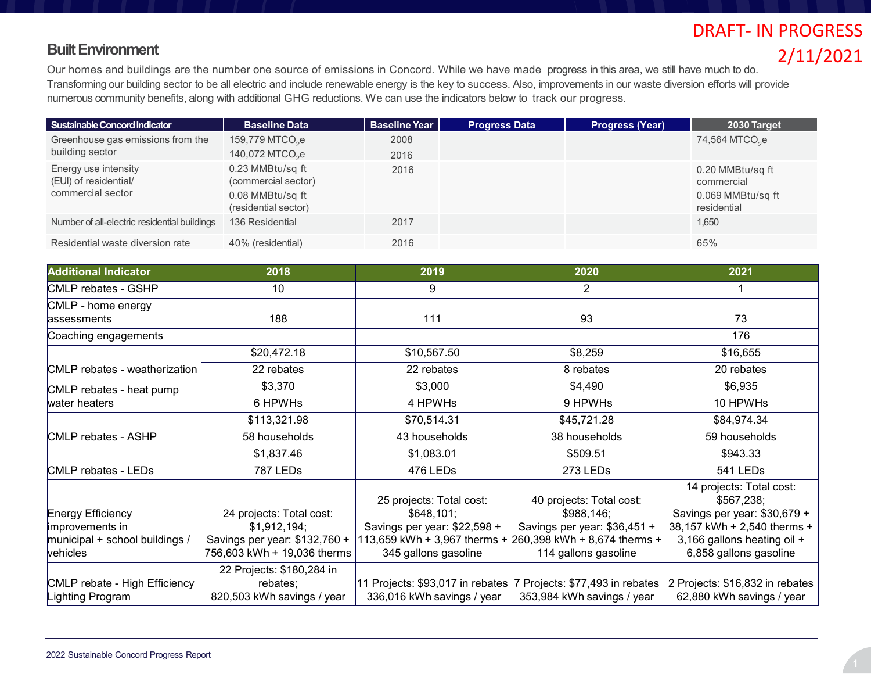#### **Built Environment**

# DRAFT- IN PROGRESS 2/11/2021

Our homes and buildings are the number one source of emissions in Concord. While we have made progress in this area, we still have much to do. Transforming our building sector to be all electric and include renewable energy is the key to success. Also, improvements in our waste diversion efforts will provide numerous community benefits, along with additional GHG reductions. We can use the indicators below to track our progress.

| Sustainable Concord Indicator                                      | <b>Baseline Data</b>                                                                | <b>Baseline Year</b> | <b>Progress Data</b> | <b>Progress (Year)</b> | 2030 Target                                                        |
|--------------------------------------------------------------------|-------------------------------------------------------------------------------------|----------------------|----------------------|------------------------|--------------------------------------------------------------------|
| Greenhouse gas emissions from the<br>building sector               | $159,779$ MTCO <sub>2</sub> e<br>140,072 MTCO <sub>2</sub> e                        | 2008<br>2016         |                      |                        | 74,564 MTCO <sub>2</sub> e                                         |
| Energy use intensity<br>(EUI) of residential/<br>commercial sector | 0.23 MMBtu/sq ft<br>(commercial sector)<br>0.08 MMBtu/sq ft<br>(residential sector) | 2016                 |                      |                        | 0.20 MMBtu/sq ft<br>commercial<br>0.069 MMBtu/sq ft<br>residential |
| Number of all-electric residential buildings                       | 136 Residential                                                                     | 2017                 |                      |                        | 1,650                                                              |
| Residential waste diversion rate                                   | 40% (residential)                                                                   | 2016                 |                      |                        | 65%                                                                |

| <b>Additional Indicator</b>                                                        | 2018                                                                                                     | 2019                                                                                                                           | 2020                                                                                                                           | 2021                                                                                                                                                           |
|------------------------------------------------------------------------------------|----------------------------------------------------------------------------------------------------------|--------------------------------------------------------------------------------------------------------------------------------|--------------------------------------------------------------------------------------------------------------------------------|----------------------------------------------------------------------------------------------------------------------------------------------------------------|
| CMLP rebates - GSHP                                                                | 10                                                                                                       | 9                                                                                                                              | $\overline{2}$                                                                                                                 |                                                                                                                                                                |
| CMLP - home energy<br>assessments                                                  | 188                                                                                                      | 111                                                                                                                            | 93                                                                                                                             | 73                                                                                                                                                             |
| Coaching engagements                                                               |                                                                                                          |                                                                                                                                |                                                                                                                                | 176                                                                                                                                                            |
|                                                                                    | \$20,472.18                                                                                              | \$10,567.50                                                                                                                    | \$8,259                                                                                                                        | \$16,655                                                                                                                                                       |
| CMLP rebates - weatherization                                                      | 22 rebates                                                                                               | 22 rebates                                                                                                                     | 8 rebates                                                                                                                      | 20 rebates                                                                                                                                                     |
| CMLP rebates - heat pump                                                           | \$3,370                                                                                                  | \$3,000                                                                                                                        | \$4,490                                                                                                                        | \$6,935                                                                                                                                                        |
| water heaters                                                                      | 6 HPWHs                                                                                                  | 4 HPWHs                                                                                                                        | 9 HPWHs                                                                                                                        | 10 HPWHs                                                                                                                                                       |
|                                                                                    | \$113,321.98                                                                                             | \$70,514.31                                                                                                                    | \$45,721.28                                                                                                                    | \$84,974.34                                                                                                                                                    |
| CMLP rebates - ASHP                                                                | 58 households                                                                                            | 43 households                                                                                                                  | 38 households                                                                                                                  | 59 households                                                                                                                                                  |
|                                                                                    | \$1,837.46                                                                                               | \$1,083.01                                                                                                                     | \$509.51                                                                                                                       | \$943.33                                                                                                                                                       |
| CMLP rebates - LEDs                                                                | 787 LEDs                                                                                                 | 476 LEDs                                                                                                                       | 273 LEDs                                                                                                                       | 541 LEDs                                                                                                                                                       |
| Energy Efficiency<br>improvements in<br>municipal + school buildings /<br>vehicles | 24 projects: Total cost:<br>\$1,912,194;<br>Savings per year: \$132,760 +<br>756,603 kWh + 19,036 therms | 25 projects: Total cost:<br>\$648,101;<br>Savings per year: \$22,598 +<br>113,659 kWh + 3,967 therms +<br>345 gallons gasoline | 40 projects: Total cost:<br>\$988,146;<br>Savings per year: \$36,451 +<br>260,398 kWh + 8,674 therms +<br>114 gallons gasoline | 14 projects: Total cost:<br>\$567,238;<br>Savings per year: \$30,679 +<br>38,157 kWh + 2,540 therms +<br>3,166 gallons heating oil +<br>6,858 gallons gasoline |
| CMLP rebate - High Efficiency<br>Lighting Program                                  | 22 Projects: \$180,284 in<br>rebates;<br>820,503 kWh savings / year                                      | 336,016 kWh savings / year                                                                                                     | 11 Projects: \$93,017 in rebates 7 Projects: \$77,493 in rebates<br>353,984 kWh savings / year                                 | 2 Projects: \$16,832 in rebates<br>62,880 kWh savings / year                                                                                                   |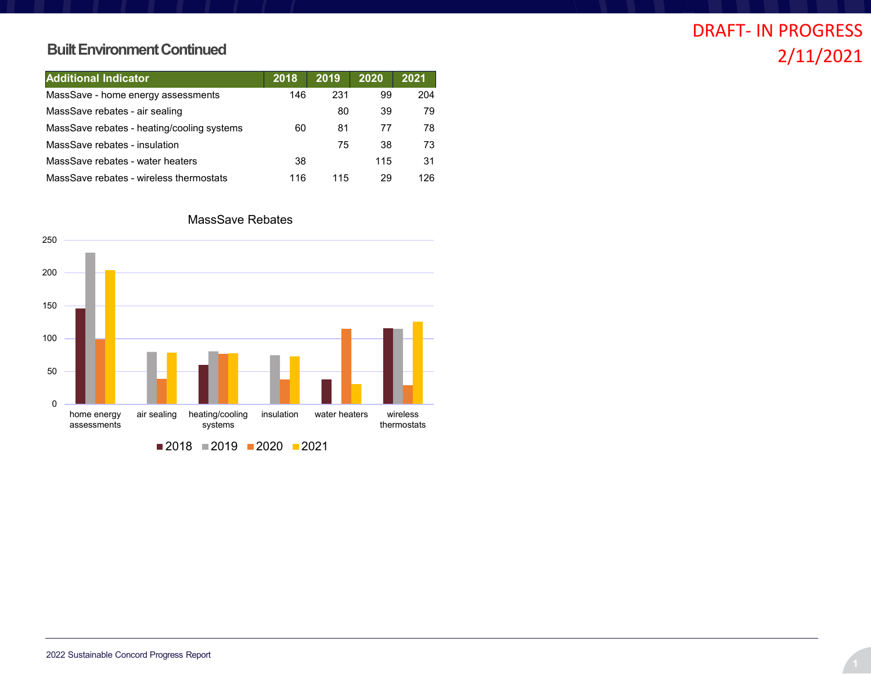#### **Built Environment Continued**

| <b>Additional Indicator</b>                | 2018 | 2019 | 2020 | 2021 |
|--------------------------------------------|------|------|------|------|
| MassSave - home energy assessments         | 146  | 231  | 99   | 204  |
| MassSave rebates - air sealing             |      | 80   | 39   | 79   |
| MassSave rebates - heating/cooling systems | 60   | 81   | 77   | 78   |
| MassSave rebates - insulation              |      | 75   | 38   | 73   |
| MassSave rebates - water heaters           | 38   |      | 115  | 31   |
| MassSave rebates - wireless thermostats    | 116  | 115  | 29   | 126  |

#### MassSave Rebates

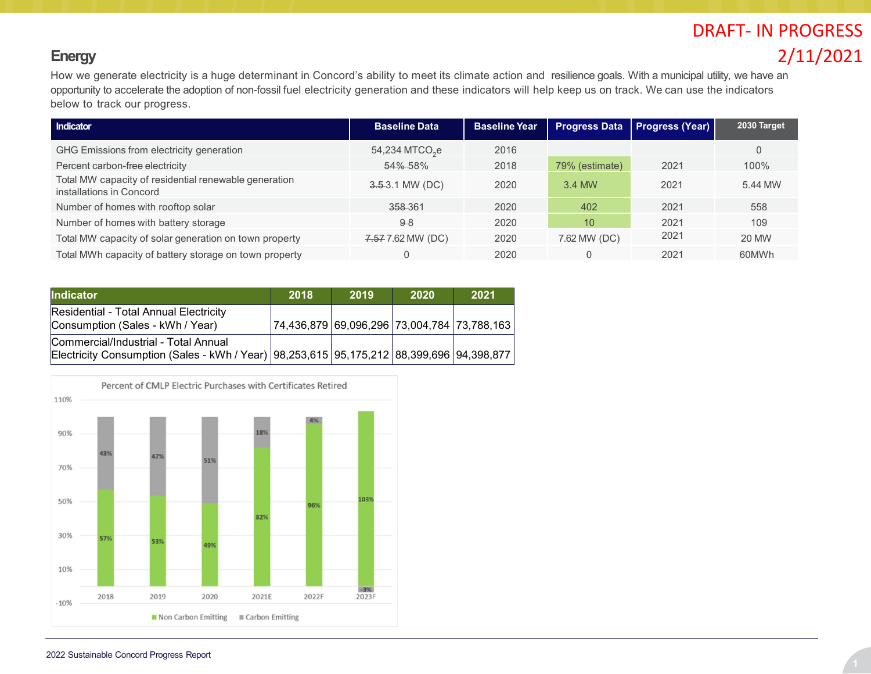## **Energy**

How we generate electricity is a huge determinant in Concord's ability to meet its climate action and resilience goals. With a municipal utility, we have an opportunity to accelerate the adoption of non-fossil fuel electricity generation and these indicators will help keep us on track. We can use the indicators below to track our progress.

| Indicator                                                                         | <b>Baseline Data</b>       | <b>Baseline Year</b> | <b>Progress Data</b> | <b>Progress (Year)</b> | 2030 Target  |
|-----------------------------------------------------------------------------------|----------------------------|----------------------|----------------------|------------------------|--------------|
| GHG Emissions from electricity generation                                         | 54,234 MTCO <sub>2</sub> e | 2016                 |                      |                        |              |
| Percent carbon-free electricity                                                   | 54%-58%                    | 2018                 | 79% (estimate)       | 2021                   | 100%         |
| Total MW capacity of residential renewable generation<br>installations in Concord | $3.53.1$ MW (DC)           | 2020                 | 3.4 MW               | 2021                   | 5.44 MW      |
| Number of homes with rooftop solar                                                | 358-361                    | 2020                 | 402                  | 2021                   | 558          |
| Number of homes with battery storage                                              | $9-8$                      | 2020                 | 10                   | 2021                   | 109          |
| Total MW capacity of solar generation on town property                            | 7.57 7.62 MW (DC)          | 2020                 | 7.62 MW (DC)         | 2021                   | <b>20 MW</b> |
| Total MWh capacity of battery storage on town property                            |                            | 2020                 |                      | 2021                   | 60MWh        |

| <b>Indicator</b>                                                                                                                 | 2018                                        | 2019 | 2020 | 2021 |
|----------------------------------------------------------------------------------------------------------------------------------|---------------------------------------------|------|------|------|
| Residential - Total Annual Electricity<br>Consumption (Sales - kWh / Year)                                                       | 74,436,879 69,096,296 73,004,784 73,788,163 |      |      |      |
| Commercial/Industrial - Total Annual<br>Electricity Consumption (Sales - kWh / Year) 98,253,615 95,175,212 88,399,696 94,398,877 |                                             |      |      |      |

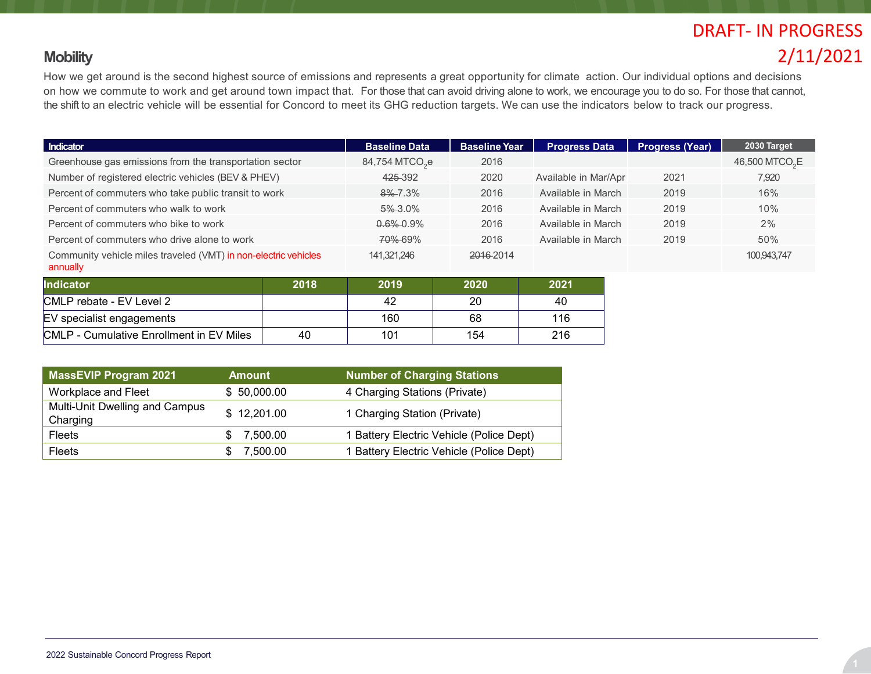#### **Mobility**

How we get around is the second highest source of emissions and represents a great opportunity for climate action. Our individual options and decisions on how we commute to work and get around town impact that. For those that can avoid driving alone to work, we encourage you to do so. For those that cannot, the shift to an electric vehicle will be essential for Concord to meet its GHG reduction targets. We can use the indicators below to track our progress.

| Indicator                                                                   |      | <b>Baseline Data</b>       | <b>Baseline Year</b> | <b>Progress Data</b> | <b>Progress (Year)</b> | 2030 Target                |
|-----------------------------------------------------------------------------|------|----------------------------|----------------------|----------------------|------------------------|----------------------------|
| Greenhouse gas emissions from the transportation sector                     |      | 84,754 MTCO <sub>2</sub> e | 2016                 |                      |                        | 46,500 MTCO <sub>2</sub> E |
| Number of registered electric vehicles (BEV & PHEV)                         |      | 425-392                    | 2020                 | Available in Mar/Apr | 2021                   | 7,920                      |
| Percent of commuters who take public transit to work                        |      | $8\% - 7.3\%$              | 2016                 | Available in March   | 2019                   | 16%                        |
| Percent of commuters who walk to work                                       |      | $5\%3.0\%$                 | 2016                 | Available in March   | 2019                   | 10%                        |
| Percent of commuters who bike to work                                       |      | $0.6\%$ 0.9%               | 2016                 | Available in March   | 2019                   | 2%                         |
| Percent of commuters who drive alone to work                                |      | <b>70% 69%</b>             | 2016                 | Available in March   | 2019                   | 50%                        |
| Community vehicle miles traveled (VMT) in non-electric vehicles<br>annually |      | 141.321.246                | 2016-2014            |                      |                        | 100,943,747                |
| Indicator                                                                   | 2018 | 2019                       | 2020                 | 2021                 |                        |                            |
| CMLP rebate - EV Level 2                                                    |      | 42                         | 20                   | 40                   |                        |                            |
| EV specialist engagements                                                   |      | 160                        | 68                   | 116                  |                        |                            |

| <b>MassEVIP Program 2021</b>               | <b>Amount</b> | <b>Number of Charging Stations</b>       |
|--------------------------------------------|---------------|------------------------------------------|
| Workplace and Fleet                        | \$50,000.00   | 4 Charging Stations (Private)            |
| Multi-Unit Dwelling and Campus<br>Charging | \$12,201.00   | 1 Charging Station (Private)             |
| <b>Fleets</b>                              | 7,500.00      | 1 Battery Electric Vehicle (Police Dept) |
| <b>Fleets</b>                              | 7,500.00      | 1 Battery Electric Vehicle (Police Dept) |

CMLP - Cumulative Enrollment in EV Miles 40 101 154 154 216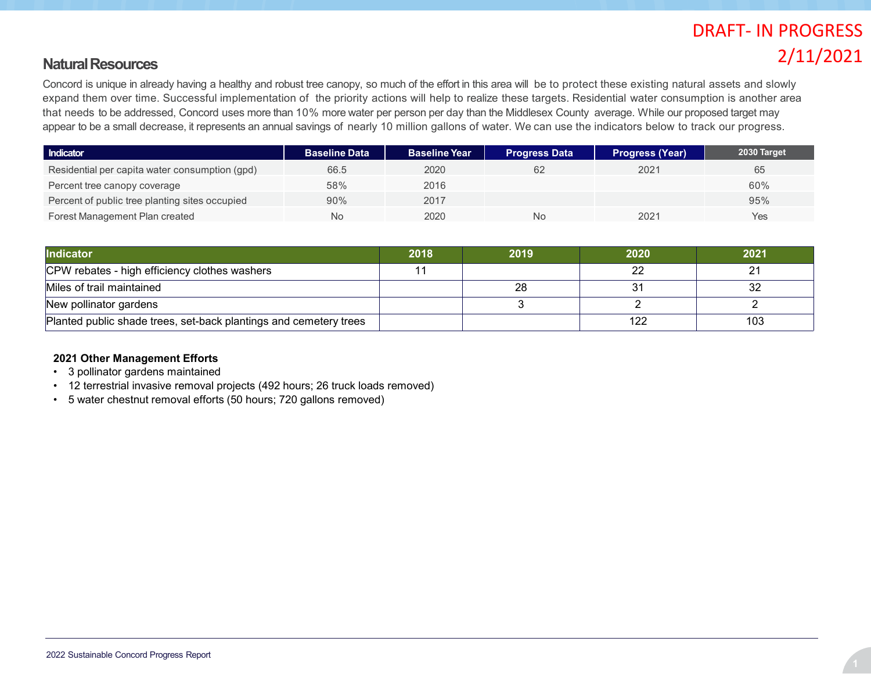#### **Natural Resources**

Concord is unique in already having a healthy and robust tree canopy, so much of the effort in this area will be to protect these existing natural assets and slowly expand them over time. Successful implementation of the priority actions will help to realize these targets. Residential water consumption is another area that needs to be addressed, Concord uses more than 10% more water per person per day than the Middlesex County average. While our proposed target may appear to be a small decrease, it represents an annual savings of nearly 10 million gallons of water. We can use the indicators below to track our progress.

| Indicator                                      | <b>Baseline Data</b> | <b>Baseline Year</b> | <b>Progress Data</b> | <b>Progress (Year)</b> | 2030 Target |
|------------------------------------------------|----------------------|----------------------|----------------------|------------------------|-------------|
| Residential per capita water consumption (gpd) | 66.5                 | 2020                 | 62                   | 2021                   | 65          |
| Percent tree canopy coverage                   | 58%                  | 2016                 |                      |                        | 60%         |
| Percent of public tree planting sites occupied | 90%                  | 2017                 |                      |                        | 95%         |
| Forest Management Plan created                 | No                   | 2020                 | No                   | 2021                   | Yes         |

| <b>Indicator</b>                                                  | 2018 | 2019 | 2020 | 2021 |
|-------------------------------------------------------------------|------|------|------|------|
| CPW rebates - high efficiency clothes washers                     |      |      |      |      |
| Miles of trail maintained                                         |      | 28   |      | ົດຕ  |
| New pollinator gardens                                            |      |      |      |      |
| Planted public shade trees, set-back plantings and cemetery trees |      |      | 122  | 103  |

#### **2021 Other Management Efforts**

- 3 pollinator gardens maintained
- 12 terrestrial invasive removal projects (492 hours; 26 truck loads removed)
- 5 water chestnut removal efforts (50 hours; 720 gallons removed)